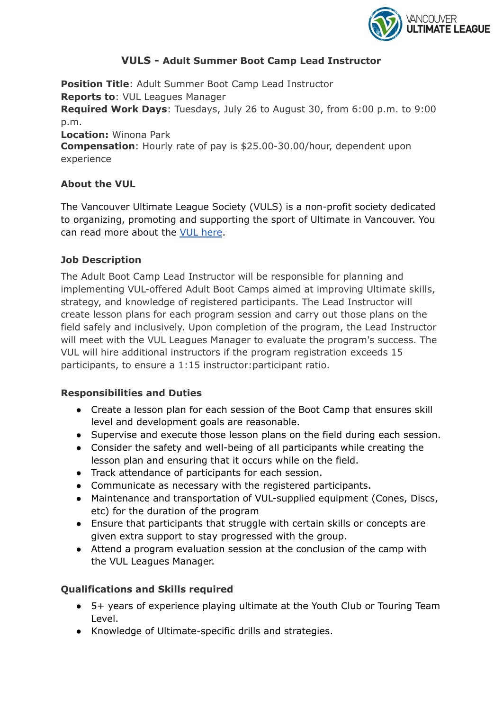

## **VULS - Adult Summer Boot Camp Lead Instructor**

**Position Title**: Adult Summer Boot Camp Lead Instructor **Reports to**: VUL Leagues Manager **Required Work Days**: Tuesdays, July 26 to August 30, from 6:00 p.m. to 9:00 p.m. **Location:** Winona Park **Compensation**: Hourly rate of pay is \$25.00-30.00/hour, dependent upon experience

## **About the VUL**

The Vancouver Ultimate League Society (VULS) is a non-profit society dedicated to organizing, promoting and supporting the sport of Ultimate in Vancouver. You can read more about the VUL [here](http://www.vul.ca).

### **Job Description**

The Adult Boot Camp Lead Instructor will be responsible for planning and implementing VUL-offered Adult Boot Camps aimed at improving Ultimate skills, strategy, and knowledge of registered participants. The Lead Instructor will create lesson plans for each program session and carry out those plans on the field safely and inclusively. Upon completion of the program, the Lead Instructor will meet with the VUL Leagues Manager to evaluate the program's success. The VUL will hire additional instructors if the program registration exceeds 15 participants, to ensure a 1:15 instructor:participant ratio.

### **Responsibilities and Duties**

- Create a lesson plan for each session of the Boot Camp that ensures skill level and development goals are reasonable.
- Supervise and execute those lesson plans on the field during each session.
- Consider the safety and well-being of all participants while creating the lesson plan and ensuring that it occurs while on the field.
- Track attendance of participants for each session.
- Communicate as necessary with the registered participants.
- Maintenance and transportation of VUL-supplied equipment (Cones, Discs, etc) for the duration of the program
- Ensure that participants that struggle with certain skills or concepts are given extra support to stay progressed with the group.
- Attend a program evaluation session at the conclusion of the camp with the VUL Leagues Manager.

# **Qualifications and Skills required**

- 5+ years of experience playing ultimate at the Youth Club or Touring Team Level.
- Knowledge of Ultimate-specific drills and strategies.